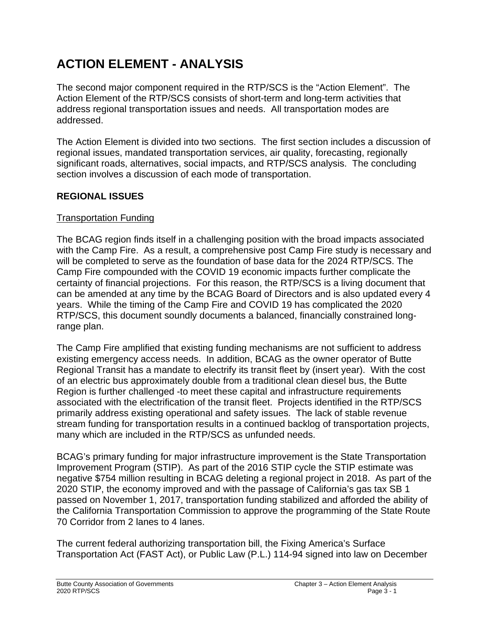# **ACTION ELEMENT - ANALYSIS**

The second major component required in the RTP/SCS is the "Action Element". The Action Element of the RTP/SCS consists of short-term and long-term activities that address regional transportation issues and needs. All transportation modes are addressed.

The Action Element is divided into two sections. The first section includes a discussion of regional issues, mandated transportation services, air quality, forecasting, regionally significant roads, alternatives, social impacts, and RTP/SCS analysis. The concluding section involves a discussion of each mode of transportation.

# **REGIONAL ISSUES**

# Transportation Funding

The BCAG region finds itself in a challenging position with the broad impacts associated with the Camp Fire. As a result, a comprehensive post Camp Fire study is necessary and will be completed to serve as the foundation of base data for the 2024 RTP/SCS. The Camp Fire compounded with the COVID 19 economic impacts further complicate the certainty of financial projections. For this reason, the RTP/SCS is a living document that can be amended at any time by the BCAG Board of Directors and is also updated every 4 years. While the timing of the Camp Fire and COVID 19 has complicated the 2020 RTP/SCS, this document soundly documents a balanced, financially constrained longrange plan.

The Camp Fire amplified that existing funding mechanisms are not sufficient to address existing emergency access needs. In addition, BCAG as the owner operator of Butte Regional Transit has a mandate to electrify its transit fleet by (insert year). With the cost of an electric bus approximately double from a traditional clean diesel bus, the Butte Region is further challenged -to meet these capital and infrastructure requirements associated with the electrification of the transit fleet. Projects identified in the RTP/SCS primarily address existing operational and safety issues. The lack of stable revenue stream funding for transportation results in a continued backlog of transportation projects, many which are included in the RTP/SCS as unfunded needs.

BCAG's primary funding for major infrastructure improvement is the State Transportation Improvement Program (STIP). As part of the 2016 STIP cycle the STIP estimate was negative \$754 million resulting in BCAG deleting a regional project in 2018. As part of the 2020 STIP, the economy improved and with the passage of California's gas tax SB 1 passed on November 1, 2017, transportation funding stabilized and afforded the ability of the California Transportation Commission to approve the programming of the State Route 70 Corridor from 2 lanes to 4 lanes.

The current federal authorizing transportation bill, the Fixing America's Surface Transportation Act (FAST Act), or Public Law (P.L.) 114-94 signed into law on December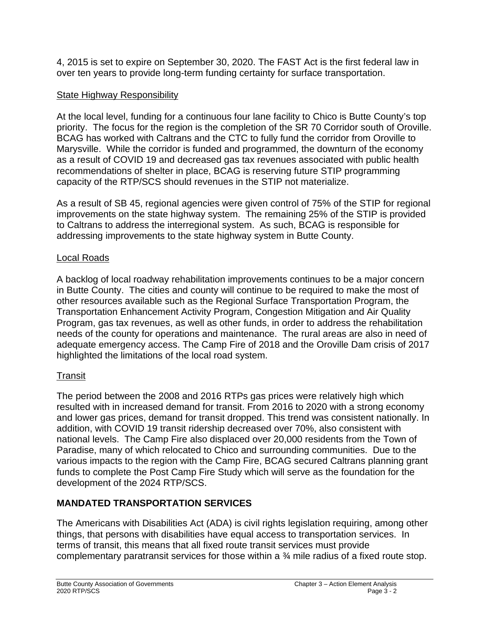4, 2015 is set to expire on September 30, 2020. The FAST Act is the first federal law in over ten years to provide long-term funding certainty for surface transportation.

# State Highway Responsibility

At the local level, funding for a continuous four lane facility to Chico is Butte County's top priority. The focus for the region is the completion of the SR 70 Corridor south of Oroville. BCAG has worked with Caltrans and the CTC to fully fund the corridor from Oroville to Marysville. While the corridor is funded and programmed, the downturn of the economy as a result of COVID 19 and decreased gas tax revenues associated with public health recommendations of shelter in place, BCAG is reserving future STIP programming capacity of the RTP/SCS should revenues in the STIP not materialize.

As a result of SB 45, regional agencies were given control of 75% of the STIP for regional improvements on the state highway system. The remaining 25% of the STIP is provided to Caltrans to address the interregional system. As such, BCAG is responsible for addressing improvements to the state highway system in Butte County.

#### Local Roads

A backlog of local roadway rehabilitation improvements continues to be a major concern in Butte County. The cities and county will continue to be required to make the most of other resources available such as the Regional Surface Transportation Program, the Transportation Enhancement Activity Program, Congestion Mitigation and Air Quality Program, gas tax revenues, as well as other funds, in order to address the rehabilitation needs of the county for operations and maintenance. The rural areas are also in need of adequate emergency access. The Camp Fire of 2018 and the Oroville Dam crisis of 2017 highlighted the limitations of the local road system.

# **Transit**

The period between the 2008 and 2016 RTPs gas prices were relatively high which resulted with in increased demand for transit. From 2016 to 2020 with a strong economy and lower gas prices, demand for transit dropped. This trend was consistent nationally. In addition, with COVID 19 transit ridership decreased over 70%, also consistent with national levels. The Camp Fire also displaced over 20,000 residents from the Town of Paradise, many of which relocated to Chico and surrounding communities. Due to the various impacts to the region with the Camp Fire, BCAG secured Caltrans planning grant funds to complete the Post Camp Fire Study which will serve as the foundation for the development of the 2024 RTP/SCS.

# **MANDATED TRANSPORTATION SERVICES**

The Americans with Disabilities Act (ADA) is civil rights legislation requiring, among other things, that persons with disabilities have equal access to transportation services. In terms of transit, this means that all fixed route transit services must provide complementary paratransit services for those within a ¾ mile radius of a fixed route stop.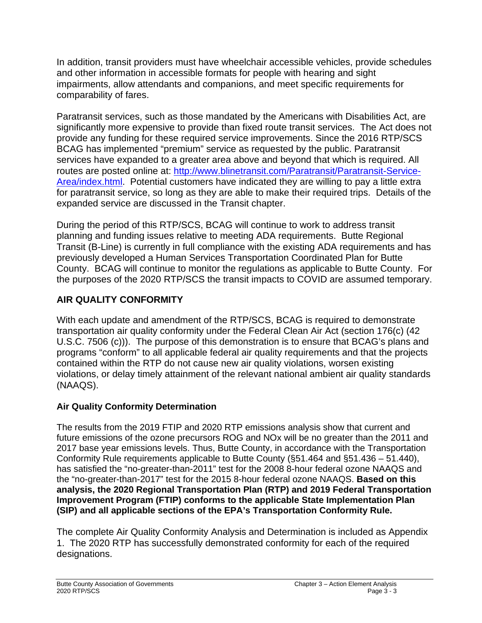In addition, transit providers must have wheelchair accessible vehicles, provide schedules and other information in accessible formats for people with hearing and sight impairments, allow attendants and companions, and meet specific requirements for comparability of fares.

Paratransit services, such as those mandated by the Americans with Disabilities Act, are significantly more expensive to provide than fixed route transit services. The Act does not provide any funding for these required service improvements. Since the 2016 RTP/SCS BCAG has implemented "premium" service as requested by the public. Paratransit services have expanded to a greater area above and beyond that which is required. All routes are posted online at: [http://www.blinetransit.com/Paratransit/Paratransit-Service-](http://www.blinetransit.com/Paratransit/Paratransit-Service-Area/index.html)[Area/index.html.](http://www.blinetransit.com/Paratransit/Paratransit-Service-Area/index.html) Potential customers have indicated they are willing to pay a little extra for paratransit service, so long as they are able to make their required trips. Details of the expanded service are discussed in the Transit chapter.

During the period of this RTP/SCS, BCAG will continue to work to address transit planning and funding issues relative to meeting ADA requirements. Butte Regional Transit (B-Line) is currently in full compliance with the existing ADA requirements and has previously developed a Human Services Transportation Coordinated Plan for Butte County. BCAG will continue to monitor the regulations as applicable to Butte County. For the purposes of the 2020 RTP/SCS the transit impacts to COVID are assumed temporary.

# **AIR QUALITY CONFORMITY**

With each update and amendment of the RTP/SCS, BCAG is required to demonstrate transportation air quality conformity under the Federal Clean Air Act (section 176(c) (42 U.S.C. 7506 (c))). The purpose of this demonstration is to ensure that BCAG's plans and programs "conform" to all applicable federal air quality requirements and that the projects contained within the RTP do not cause new air quality violations, worsen existing violations, or delay timely attainment of the relevant national ambient air quality standards (NAAQS).

# **Air Quality Conformity Determination**

The results from the 2019 FTIP and 2020 RTP emissions analysis show that current and future emissions of the ozone precursors ROG and NOx will be no greater than the 2011 and 2017 base year emissions levels. Thus, Butte County, in accordance with the Transportation Conformity Rule requirements applicable to Butte County (§51.464 and §51.436 – 51.440), has satisfied the "no-greater-than-2011" test for the 2008 8-hour federal ozone NAAQS and the "no-greater-than-2017" test for the 2015 8-hour federal ozone NAAQS. **Based on this analysis, the 2020 Regional Transportation Plan (RTP) and 2019 Federal Transportation Improvement Program (FTIP) conforms to the applicable State Implementation Plan (SIP) and all applicable sections of the EPA's Transportation Conformity Rule.**

The complete Air Quality Conformity Analysis and Determination is included as Appendix 1. The 2020 RTP has successfully demonstrated conformity for each of the required designations.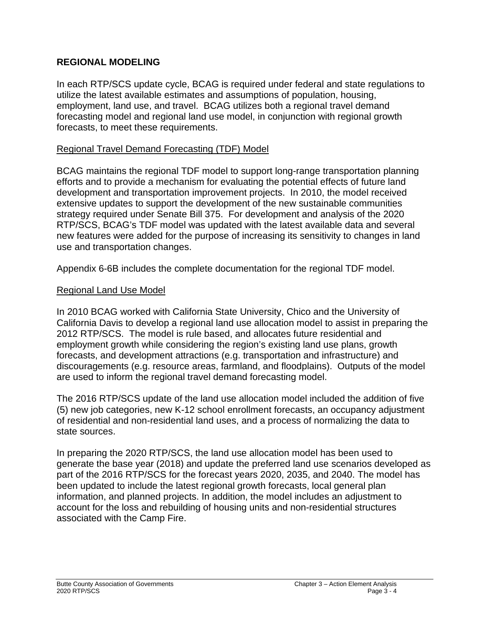#### **REGIONAL MODELING**

In each RTP/SCS update cycle, BCAG is required under federal and state regulations to utilize the latest available estimates and assumptions of population, housing, employment, land use, and travel. BCAG utilizes both a regional travel demand forecasting model and regional land use model, in conjunction with regional growth forecasts, to meet these requirements.

#### Regional Travel Demand Forecasting (TDF) Model

BCAG maintains the regional TDF model to support long-range transportation planning efforts and to provide a mechanism for evaluating the potential effects of future land development and transportation improvement projects. In 2010, the model received extensive updates to support the development of the new sustainable communities strategy required under Senate Bill 375. For development and analysis of the 2020 RTP/SCS, BCAG's TDF model was updated with the latest available data and several new features were added for the purpose of increasing its sensitivity to changes in land use and transportation changes.

Appendix 6-6B includes the complete documentation for the regional TDF model.

#### Regional Land Use Model

In 2010 BCAG worked with California State University, Chico and the University of California Davis to develop a regional land use allocation model to assist in preparing the 2012 RTP/SCS. The model is rule based, and allocates future residential and employment growth while considering the region's existing land use plans, growth forecasts, and development attractions (e.g. transportation and infrastructure) and discouragements (e.g. resource areas, farmland, and floodplains). Outputs of the model are used to inform the regional travel demand forecasting model.

The 2016 RTP/SCS update of the land use allocation model included the addition of five (5) new job categories, new K-12 school enrollment forecasts, an occupancy adjustment of residential and non-residential land uses, and a process of normalizing the data to state sources.

In preparing the 2020 RTP/SCS, the land use allocation model has been used to generate the base year (2018) and update the preferred land use scenarios developed as part of the 2016 RTP/SCS for the forecast years 2020, 2035, and 2040. The model has been updated to include the latest regional growth forecasts, local general plan information, and planned projects. In addition, the model includes an adjustment to account for the loss and rebuilding of housing units and non-residential structures associated with the Camp Fire.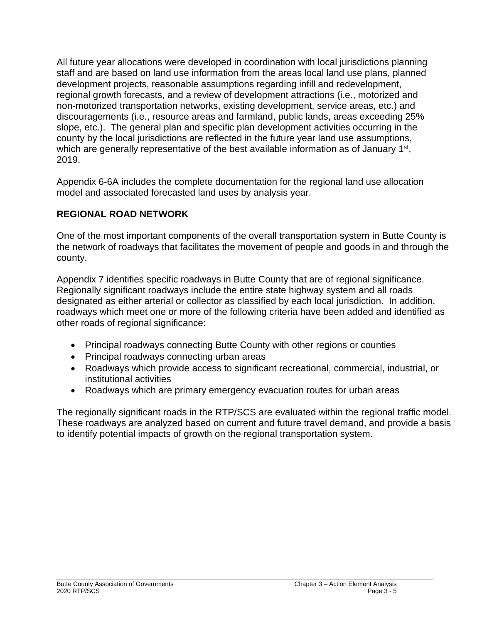All future year allocations were developed in coordination with local jurisdictions planning staff and are based on land use information from the areas local land use plans, planned development projects, reasonable assumptions regarding infill and redevelopment, regional growth forecasts, and a review of development attractions (i.e., motorized and non-motorized transportation networks, existing development, service areas, etc.) and discouragements (i.e., resource areas and farmland, public lands, areas exceeding 25% slope, etc.). The general plan and specific plan development activities occurring in the county by the local jurisdictions are reflected in the future year land use assumptions, which are generally representative of the best available information as of January 1<sup>st</sup>, 2019.

Appendix 6-6A includes the complete documentation for the regional land use allocation model and associated forecasted land uses by analysis year.

# **REGIONAL ROAD NETWORK**

One of the most important components of the overall transportation system in Butte County is the network of roadways that facilitates the movement of people and goods in and through the county.

Appendix 7 identifies specific roadways in Butte County that are of regional significance. Regionally significant roadways include the entire state highway system and all roads designated as either arterial or collector as classified by each local jurisdiction. In addition, roadways which meet one or more of the following criteria have been added and identified as other roads of regional significance:

- Principal roadways connecting Butte County with other regions or counties
- Principal roadways connecting urban areas
- Roadways which provide access to significant recreational, commercial, industrial, or institutional activities
- Roadways which are primary emergency evacuation routes for urban areas

The regionally significant roads in the RTP/SCS are evaluated within the regional traffic model. These roadways are analyzed based on current and future travel demand, and provide a basis to identify potential impacts of growth on the regional transportation system.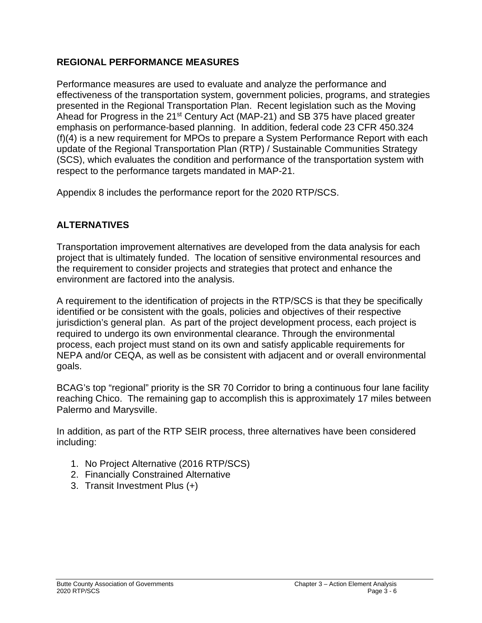# **REGIONAL PERFORMANCE MEASURES**

Performance measures are used to evaluate and analyze the performance and effectiveness of the transportation system, government policies, programs, and strategies presented in the Regional Transportation Plan. Recent legislation such as the Moving Ahead for Progress in the 21<sup>st</sup> Century Act (MAP-21) and SB 375 have placed greater emphasis on performance-based planning. In addition, federal code 23 CFR 450.324 (f)(4) is a new requirement for MPOs to prepare a System Performance Report with each update of the Regional Transportation Plan (RTP) / Sustainable Communities Strategy (SCS), which evaluates the condition and performance of the transportation system with respect to the performance targets mandated in MAP-21.

Appendix 8 includes the performance report for the 2020 RTP/SCS.

# **ALTERNATIVES**

Transportation improvement alternatives are developed from the data analysis for each project that is ultimately funded. The location of sensitive environmental resources and the requirement to consider projects and strategies that protect and enhance the environment are factored into the analysis.

A requirement to the identification of projects in the RTP/SCS is that they be specifically identified or be consistent with the goals, policies and objectives of their respective jurisdiction's general plan. As part of the project development process, each project is required to undergo its own environmental clearance. Through the environmental process, each project must stand on its own and satisfy applicable requirements for NEPA and/or CEQA, as well as be consistent with adjacent and or overall environmental goals.

BCAG's top "regional" priority is the SR 70 Corridor to bring a continuous four lane facility reaching Chico. The remaining gap to accomplish this is approximately 17 miles between Palermo and Marysville.

In addition, as part of the RTP SEIR process, three alternatives have been considered including:

- 1. No Project Alternative (2016 RTP/SCS)
- 2. Financially Constrained Alternative
- 3. Transit Investment Plus (+)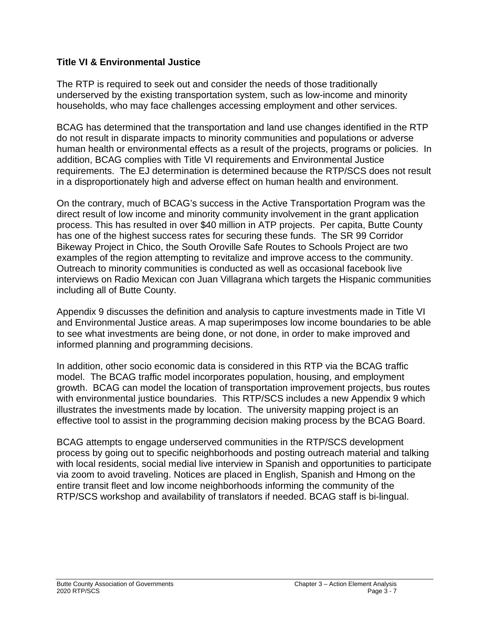#### **Title VI & Environmental Justice**

The RTP is required to seek out and consider the needs of those traditionally underserved by the existing transportation system, such as low-income and minority households, who may face challenges accessing employment and other services.

BCAG has determined that the transportation and land use changes identified in the RTP do not result in disparate impacts to minority communities and populations or adverse human health or environmental effects as a result of the projects, programs or policies. In addition, BCAG complies with Title VI requirements and Environmental Justice requirements. The EJ determination is determined because the RTP/SCS does not result in a disproportionately high and adverse effect on human health and environment.

On the contrary, much of BCAG's success in the Active Transportation Program was the direct result of low income and minority community involvement in the grant application process. This has resulted in over \$40 million in ATP projects. Per capita, Butte County has one of the highest success rates for securing these funds. The SR 99 Corridor Bikeway Project in Chico, the South Oroville Safe Routes to Schools Project are two examples of the region attempting to revitalize and improve access to the community. Outreach to minority communities is conducted as well as occasional facebook live interviews on Radio Mexican con Juan Villagrana which targets the Hispanic communities including all of Butte County.

Appendix 9 discusses the definition and analysis to capture investments made in Title VI and Environmental Justice areas. A map superimposes low income boundaries to be able to see what investments are being done, or not done, in order to make improved and informed planning and programming decisions.

In addition, other socio economic data is considered in this RTP via the BCAG traffic model. The BCAG traffic model incorporates population, housing, and employment growth. BCAG can model the location of transportation improvement projects, bus routes with environmental justice boundaries. This RTP/SCS includes a new Appendix 9 which illustrates the investments made by location. The university mapping project is an effective tool to assist in the programming decision making process by the BCAG Board.

BCAG attempts to engage underserved communities in the RTP/SCS development process by going out to specific neighborhoods and posting outreach material and talking with local residents, social medial live interview in Spanish and opportunities to participate via zoom to avoid traveling. Notices are placed in English, Spanish and Hmong on the entire transit fleet and low income neighborhoods informing the community of the RTP/SCS workshop and availability of translators if needed. BCAG staff is bi-lingual.